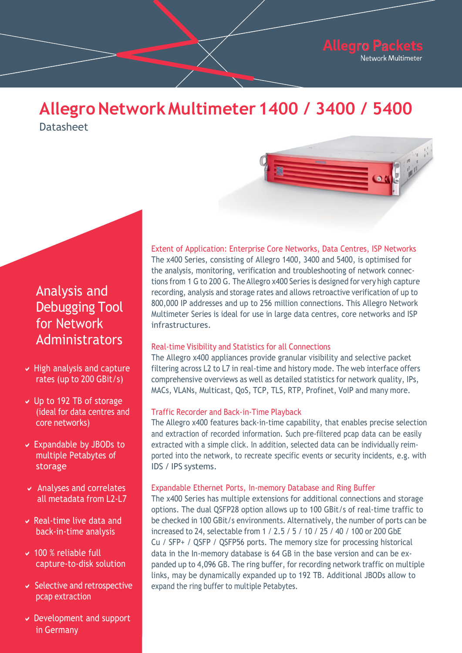# Allegro Network Multimeter 1400 / 3400 / 5400 **Datasheet**



# Analysis and Analysis and **Debugging Tool BUD, Nultimeter Se for Network** *infrastr* **Administrators** Real-time Visibility

- rates (up to 200 GBit/s) comprehensive over
- (ideal for data centres and **Final Full Traffic Recorder pcape extraction core networks)** The Alle  $\vee$  Up to 192 TB of storage
- multiple Petabytes of **Exercise properties** ported into t storage
	- $\triangleright$  Analyses and correlates all metadata from 12-17
	- $\vee$  Real-time live data and back-in-time analysis
	- $\vee$  100 % reliable full
- $\vee$  Selective and retrospective  $\mathsf{pcap}\ \mathsf{extraction}$ 
	- Germany Development and support in Germany

Extent of Application: Enterprise Core Networks, Data Centres, ISP Networks The x400 Series, consisting of Allegro 1400, 3400 and 5400, is optimised for the analysis, monitoring, verification and troubleshooting of network connections from 1 G to 200 G. The Allegro x400 Series is designed for very high capture recording, analysis and storage rates and allows retroactive verification of up to 800,000 IP addresses and up to 256 million connections. This Allegro Network Multimeter Series is ideal for use in large data centres, core networks and ISP infrastructures.

## Real-time Visibility and Statistics for all Connections

metadata from L2 to L7 to L7 to L7 to L7 to L7 to L7 to L7 to L7 to L7 to L7 to L7 to L7 to L7 to L7 to L7 to L7 to L7 to L7 to L7 to L7 to L7 to L7 to L7 to L7 to L7 to L7 to L7 to L7 to L7 to L7 to L7 to L7 to L7 to L7 t The Allegro x400 appliances provide granular visibility and selective packet ↓ High analysis and capture | filtering across L2 to L7 in real-time and history mode. The web interface offers comprehensive overviews as well as detailed statistics for network quality, IPs,

### Traffic Recorder and Back-in-Time Playback

**Expandable by JBODs to** extracted with a simple click. In addition, selected data can be individually reim-The Allegro x400 features back-in-time capability, that enables precise selection and extraction of recorded information. Such pre-filtered pcap data can be easily ported into the network, to recreate specific events or security incidents, e.g. with IDS / IPS systems.

### ■ → Analyses and correlates → Expandable Ethernet Ports, In-memory Database and Ring Buffer

options. The dual QSFP28 option allows up to 100 GBit/s of real-time traffic to capture-to-disk solution and ed up to 4,096 GB. The ring buffer, for recording network traffic on multiple all metadata from L2-L7 The x400 Series has multiple extensions for additional connections and storage • Real-time live data and be checked in 100 GBit/s environments. Alternatively, the number of ports can be increased to 24, selectable from 1 / 2.5 / 5 / 10 / 25 / 40 / 100 or 200 GbE Cu / SFP+ / QSFP / QSFP56 ports. The memory size for processing historical  $\vee$  100 % reliable full data in the In-memory database is 64 GB in the base version and can be exlinks, may be dynamically expanded up to 192 TB. Additional JBODs allow to  $\triangleright$  Selective and retrospective expand the ring buffer to multiple Petabytes.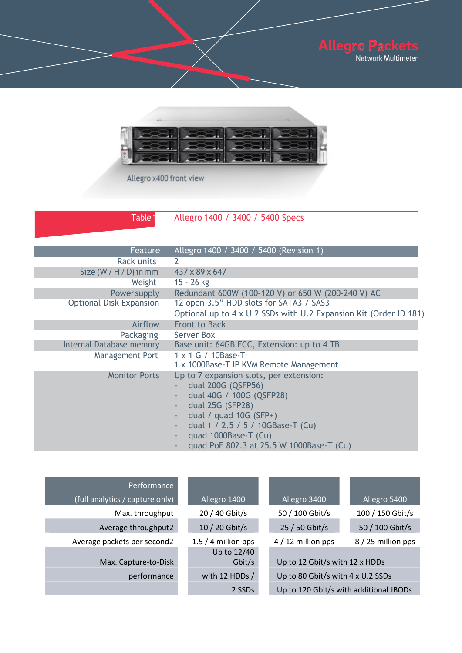



Allegro x400 front view

Table 1 Allegro 1400 / 3400 / 5400 Specs

| Feature                        | Allegro 1400 / 3400 / 5400 (Revision 1)                           |
|--------------------------------|-------------------------------------------------------------------|
| Rack units                     | 2                                                                 |
| Size $(W / H / D)$ in mm       | $437 \times 89 \times 647$                                        |
| Weight                         | 15 - 26 kg                                                        |
| <b>Power supply</b>            | Redundant 600W (100-120 V) or 650 W (200-240 V) AC                |
| <b>Optional Disk Expansion</b> | 12 open 3.5" HDD slots for SATA3 / SAS3                           |
|                                | Optional up to 4 x U.2 SSDs with U.2 Expansion Kit (Order ID 181) |
| Airflow                        | <b>Front to Back</b>                                              |
| Packaging                      | Server Box                                                        |
| Internal Database memory       | Base unit: 64GB ECC, Extension: up to 4 TB                        |
| Management Port                | $1 \times 1$ G / 10Base-T                                         |
|                                | 1 x 1000Base-T IP KVM Remote Management                           |
| <b>Monitor Ports</b>           | Up to 7 expansion slots, per extension:                           |
|                                | dual 200G (QSFP56)                                                |
|                                | dual 40G / 100G (QSFP28)<br>×.                                    |
|                                | dual 25G (SFP28)                                                  |
|                                | dual / quad $10G$ (SFP+)<br>٠                                     |
|                                | dual 1 / 2.5 / 5 / 10GBase-T (Cu)                                 |
|                                | quad 1000Base-T (Cu)                                              |
|                                | quad PoE 802.3 at 25.5 W 1000Base-T (Cu)                          |

| Performance                     |                       |                                   |                                        |
|---------------------------------|-----------------------|-----------------------------------|----------------------------------------|
| (full analytics / capture only) | Allegro 1400          | Allegro 3400                      | Allegro 5400                           |
| Max. throughput                 | 20 / 40 Gbit/s        | 50 / 100 Gbit/s                   | 100 / 150 Gbit/s                       |
| Average throughput2             | 10 / 20 Gbit/s        | 25 / 50 Gbit/s                    | 50 / 100 Gbit/s                        |
| Average packets per second2     | 1.5 $/$ 4 million pps | $4/12$ million pps                | 8 / 25 million pps                     |
|                                 | Up to 12/40           |                                   |                                        |
| Max. Capture-to-Disk            | Gbit/s                | Up to 12 Gbit/s with 12 x HDDs    |                                        |
| performance                     | with 12 HDDs /        | Up to 80 Gbit/s with 4 x U.2 SSDs |                                        |
|                                 | 2 SSDs                |                                   | Up to 120 Gbit/s with additional JBODs |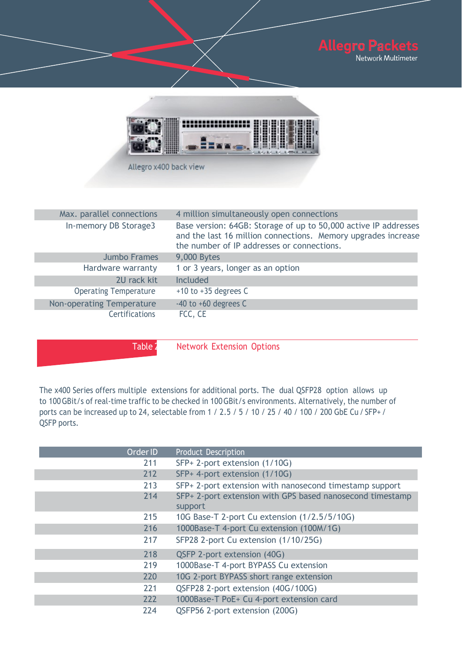



Allegro x400 back view

| Max. parallel connections    | 4 million simultaneously open connections                                                                                                                                      |
|------------------------------|--------------------------------------------------------------------------------------------------------------------------------------------------------------------------------|
| In-memory DB Storage3        | Base version: 64GB: Storage of up to 50,000 active IP addresses<br>and the last 16 million connections. Memory upgrades increase<br>the number of IP addresses or connections. |
| <b>Jumbo Frames</b>          | 9,000 Bytes                                                                                                                                                                    |
| Hardware warranty            | 1 or 3 years, longer as an option                                                                                                                                              |
| 2U rack kit                  | <b>Included</b>                                                                                                                                                                |
| <b>Operating Temperature</b> | $+10$ to $+35$ degrees C                                                                                                                                                       |
| Non-operating Temperature    | $-40$ to $+60$ degrees C                                                                                                                                                       |
| <b>Certifications</b>        | FCC, CE                                                                                                                                                                        |

Table 2 Network Extension Options

The x400 Series offers multiple extensions for additional ports. The dual QSFP28 option allows up to 100 GBit/s of real-time traffic to be checked in 100 GBit/s environments. Alternatively, the number of ports can be increased up to 24, selectable from 1 / 2.5 / 5 / 10 / 25 / 40 / 100 / 200 GbE Cu / SFP+ / QSFP ports.

| Order ID | <b>Product Description</b>                                           |
|----------|----------------------------------------------------------------------|
| 211      | SFP+ 2-port extension (1/10G)                                        |
| 212      | SFP+ 4-port extension (1/10G)                                        |
| 213      | SFP+ 2-port extension with nanosecond timestamp support              |
| 214      | SFP+ 2-port extension with GPS based nanosecond timestamp<br>support |
| 215      | 10G Base-T 2-port Cu extension (1/2.5/5/10G)                         |
| 216      | 1000Base-T 4-port Cu extension (100M/1G)                             |
| 217      | SFP28 2-port Cu extension (1/10/25G)                                 |
| 218      | QSFP 2-port extension (40G)                                          |
| 219      | 1000Base-T 4-port BYPASS Cu extension                                |
| 220      | 10G 2-port BYPASS short range extension                              |
| 221      | QSFP28 2-port extension (40G/100G)                                   |
| 222      | 1000Base-T PoE+ Cu 4-port extension card                             |
| 224      | QSFP56 2-port extension (200G)                                       |